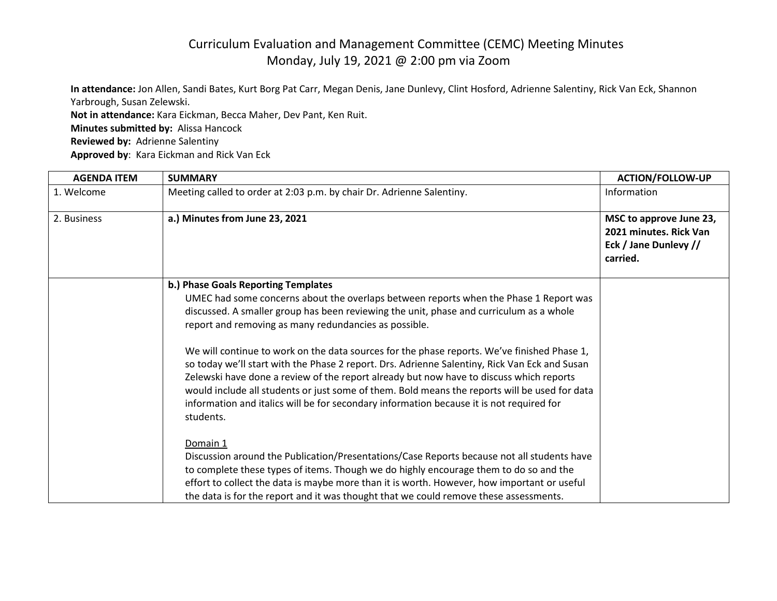**In attendance:** Jon Allen, Sandi Bates, Kurt Borg Pat Carr, Megan Denis, Jane Dunlevy, Clint Hosford, Adrienne Salentiny, Rick Van Eck, Shannon Yarbrough, Susan Zelewski.

**Not in attendance:** Kara Eickman, Becca Maher, Dev Pant, Ken Ruit.

**Minutes submitted by:** Alissa Hancock

**Reviewed by:** Adrienne Salentiny

**Approved by**: Kara Eickman and Rick Van Eck

| <b>AGENDA ITEM</b> | <b>SUMMARY</b>                                                                                                                                                                                                                                                                                                                                                                                                                                                                                    | <b>ACTION/FOLLOW-UP</b>                                                                |
|--------------------|---------------------------------------------------------------------------------------------------------------------------------------------------------------------------------------------------------------------------------------------------------------------------------------------------------------------------------------------------------------------------------------------------------------------------------------------------------------------------------------------------|----------------------------------------------------------------------------------------|
| 1. Welcome         | Meeting called to order at 2:03 p.m. by chair Dr. Adrienne Salentiny.                                                                                                                                                                                                                                                                                                                                                                                                                             | Information                                                                            |
| 2. Business        | a.) Minutes from June 23, 2021                                                                                                                                                                                                                                                                                                                                                                                                                                                                    | MSC to approve June 23,<br>2021 minutes. Rick Van<br>Eck / Jane Dunlevy //<br>carried. |
|                    | b.) Phase Goals Reporting Templates                                                                                                                                                                                                                                                                                                                                                                                                                                                               |                                                                                        |
|                    | UMEC had some concerns about the overlaps between reports when the Phase 1 Report was<br>discussed. A smaller group has been reviewing the unit, phase and curriculum as a whole<br>report and removing as many redundancies as possible.                                                                                                                                                                                                                                                         |                                                                                        |
|                    | We will continue to work on the data sources for the phase reports. We've finished Phase 1,<br>so today we'll start with the Phase 2 report. Drs. Adrienne Salentiny, Rick Van Eck and Susan<br>Zelewski have done a review of the report already but now have to discuss which reports<br>would include all students or just some of them. Bold means the reports will be used for data<br>information and italics will be for secondary information because it is not required for<br>students. |                                                                                        |
|                    | Domain 1<br>Discussion around the Publication/Presentations/Case Reports because not all students have<br>to complete these types of items. Though we do highly encourage them to do so and the<br>effort to collect the data is maybe more than it is worth. However, how important or useful<br>the data is for the report and it was thought that we could remove these assessments.                                                                                                           |                                                                                        |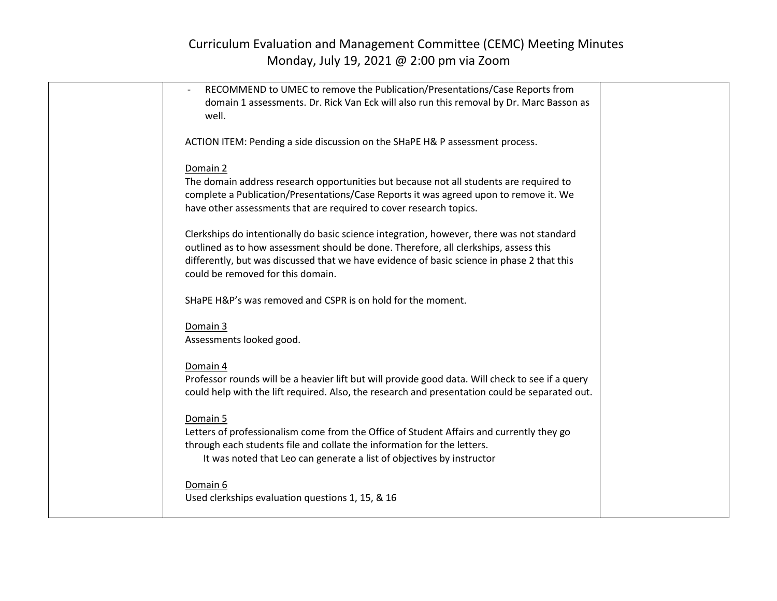| RECOMMEND to UMEC to remove the Publication/Presentations/Case Reports from                      |  |
|--------------------------------------------------------------------------------------------------|--|
|                                                                                                  |  |
| domain 1 assessments. Dr. Rick Van Eck will also run this removal by Dr. Marc Basson as          |  |
| well.                                                                                            |  |
|                                                                                                  |  |
| ACTION ITEM: Pending a side discussion on the SHaPE H& P assessment process.                     |  |
|                                                                                                  |  |
| Domain 2                                                                                         |  |
| The domain address research opportunities but because not all students are required to           |  |
|                                                                                                  |  |
| complete a Publication/Presentations/Case Reports it was agreed upon to remove it. We            |  |
| have other assessments that are required to cover research topics.                               |  |
|                                                                                                  |  |
| Clerkships do intentionally do basic science integration, however, there was not standard        |  |
| outlined as to how assessment should be done. Therefore, all clerkships, assess this             |  |
| differently, but was discussed that we have evidence of basic science in phase 2 that this       |  |
| could be removed for this domain.                                                                |  |
|                                                                                                  |  |
| SHaPE H&P's was removed and CSPR is on hold for the moment.                                      |  |
|                                                                                                  |  |
|                                                                                                  |  |
| Domain 3                                                                                         |  |
| Assessments looked good.                                                                         |  |
|                                                                                                  |  |
| Domain 4                                                                                         |  |
| Professor rounds will be a heavier lift but will provide good data. Will check to see if a query |  |
| could help with the lift required. Also, the research and presentation could be separated out.   |  |
|                                                                                                  |  |
| Domain 5                                                                                         |  |
|                                                                                                  |  |
| Letters of professionalism come from the Office of Student Affairs and currently they go         |  |
| through each students file and collate the information for the letters.                          |  |
| It was noted that Leo can generate a list of objectives by instructor                            |  |
|                                                                                                  |  |
| Domain 6                                                                                         |  |
| Used clerkships evaluation questions 1, 15, & 16                                                 |  |
|                                                                                                  |  |
|                                                                                                  |  |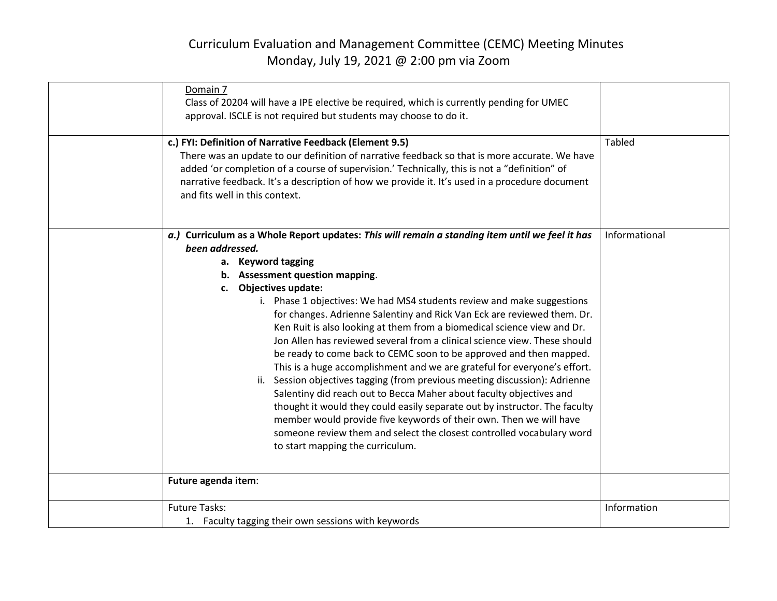| Domain 7<br>Class of 20204 will have a IPE elective be required, which is currently pending for UMEC<br>approval. ISCLE is not required but students may choose to do it.                                                                                                                                                                                                                                                                                                                                                                                                                                                                                                                                                                                                                                                                                                                                                                                                                                                                                                                  |               |
|--------------------------------------------------------------------------------------------------------------------------------------------------------------------------------------------------------------------------------------------------------------------------------------------------------------------------------------------------------------------------------------------------------------------------------------------------------------------------------------------------------------------------------------------------------------------------------------------------------------------------------------------------------------------------------------------------------------------------------------------------------------------------------------------------------------------------------------------------------------------------------------------------------------------------------------------------------------------------------------------------------------------------------------------------------------------------------------------|---------------|
| c.) FYI: Definition of Narrative Feedback (Element 9.5)<br>There was an update to our definition of narrative feedback so that is more accurate. We have<br>added 'or completion of a course of supervision.' Technically, this is not a "definition" of<br>narrative feedback. It's a description of how we provide it. It's used in a procedure document<br>and fits well in this context.                                                                                                                                                                                                                                                                                                                                                                                                                                                                                                                                                                                                                                                                                               | <b>Tabled</b> |
| a.) Curriculum as a Whole Report updates: This will remain a standing item until we feel it has<br>been addressed.<br>a. Keyword tagging<br>b. Assessment question mapping.<br>c. Objectives update:<br>i. Phase 1 objectives: We had MS4 students review and make suggestions<br>for changes. Adrienne Salentiny and Rick Van Eck are reviewed them. Dr.<br>Ken Ruit is also looking at them from a biomedical science view and Dr.<br>Jon Allen has reviewed several from a clinical science view. These should<br>be ready to come back to CEMC soon to be approved and then mapped.<br>This is a huge accomplishment and we are grateful for everyone's effort.<br>ii. Session objectives tagging (from previous meeting discussion): Adrienne<br>Salentiny did reach out to Becca Maher about faculty objectives and<br>thought it would they could easily separate out by instructor. The faculty<br>member would provide five keywords of their own. Then we will have<br>someone review them and select the closest controlled vocabulary word<br>to start mapping the curriculum. | Informational |
| Future agenda item:                                                                                                                                                                                                                                                                                                                                                                                                                                                                                                                                                                                                                                                                                                                                                                                                                                                                                                                                                                                                                                                                        |               |
| <b>Future Tasks:</b><br>1. Faculty tagging their own sessions with keywords                                                                                                                                                                                                                                                                                                                                                                                                                                                                                                                                                                                                                                                                                                                                                                                                                                                                                                                                                                                                                | Information   |